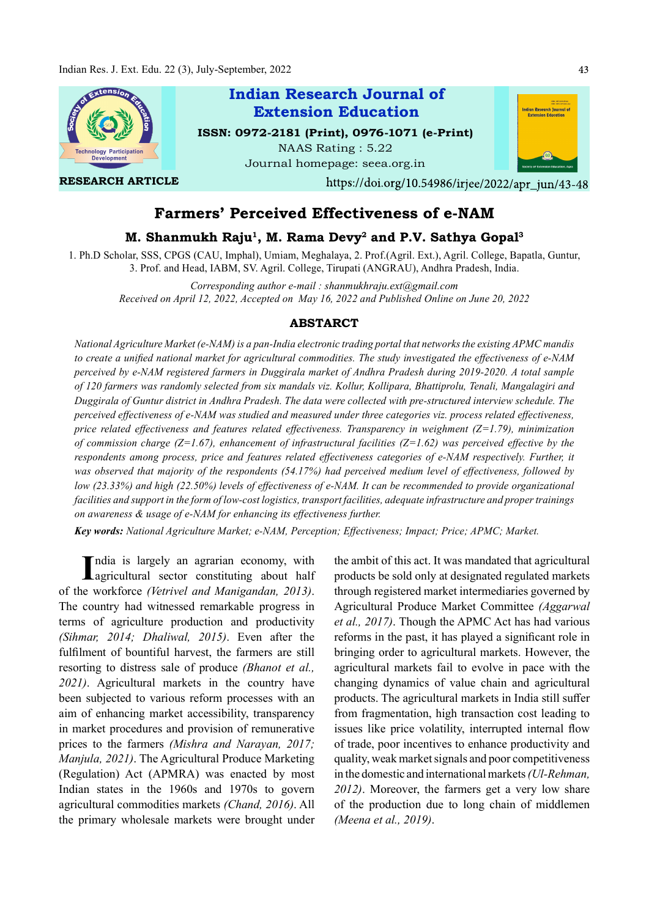

# Farmers' Perceived Effectiveness of e-NAM

## M. Shanmukh Raju<sup>1</sup>, M. Rama Devy<sup>2</sup> and P.V. Sathya Gopal<sup>3</sup>

1. Ph.D Scholar, SSS, CPGS (CAU, Imphal), Umiam, Meghalaya, 2. Prof.(Agril. Ext.), Agril. College, Bapatla, Guntur, 3. Prof. and Head, IABM, SV. Agril. College, Tirupati (ANGRAU), Andhra Pradesh, India.

Corresponding author e-mail : shanmukhraju.ext@gmail.com Received on April 12, 2022, Accepted on May 16, 2022 and Published Online on June 20, 2022

#### ABSTARCT

National Agriculture Market (e-NAM) is a pan-India electronic trading portal that networks the existing APMC mandis to create a unified national market for agricultural commodities. The study investigated the effectiveness of  $e$ -NAM perceived by e-NAM registered farmers in Duggirala market of Andhra Pradesh during 2019-2020. A total sample of 120 farmers was randomly selected from six mandals viz. Kollur, Kollipara, Bhattiprolu, Tenali, Mangalagiri and Duggirala of Guntur district in Andhra Pradesh. The data were collected with pre-structured interview schedule. The perceived effectiveness of e-NAM was studied and measured under three categories viz. process related effectiveness, price related effectiveness and features related effectiveness. Transparency in weighment ( $Z=1.79$ ), minimization of commission charge ( $Z=1.67$ ), enhancement of infrastructural facilities ( $Z=1.62$ ) was perceived effective by the respondents among process, price and features related effectiveness categories of e-NAM respectively. Further, it was observed that majority of the respondents (54.17%) had perceived medium level of effectiveness, followed by low (23.33%) and high (22.50%) levels of effectiveness of e-NAM. It can be recommended to provide organizational facilities and support in the form of low-cost logistics, transport facilities, adequate infrastructure and proper trainings on awareness & usage of e-NAM for enhancing its effectiveness further.

Key words: National Agriculture Market; e-NAM, Perception; Effectiveness; Impact; Price; APMC; Market.

India is largely an agrarian economy, with<br>agricultural sector constituting about half ndia is largely an agrarian economy, with of the workforce (Vetrivel and Manigandan, 2013). The country had witnessed remarkable progress in terms of agriculture production and productivity (Sihmar, 2014; Dhaliwal, 2015). Even after the fulfilment of bountiful harvest, the farmers are still resorting to distress sale of produce (Bhanot et al., 2021). Agricultural markets in the country have been subjected to various reform processes with an aim of enhancing market accessibility, transparency in market procedures and provision of remunerative prices to the farmers (Mishra and Narayan, 2017; Manjula, 2021). The Agricultural Produce Marketing (Regulation) Act (APMRA) was enacted by most Indian states in the 1960s and 1970s to govern agricultural commodities markets (Chand, 2016). All the primary wholesale markets were brought under

the ambit of this act. It was mandated that agricultural products be sold only at designated regulated markets through registered market intermediaries governed by Agricultural Produce Market Committee (Aggarwal et al., 2017). Though the APMC Act has had various reforms in the past, it has played a significant role in bringing order to agricultural markets. However, the agricultural markets fail to evolve in pace with the changing dynamics of value chain and agricultural products. The agricultural markets in India still suffer from fragmentation, high transaction cost leading to issues like price volatility, interrupted internal flow of trade, poor incentives to enhance productivity and quality, weak market signals and poor competitiveness in the domestic and international markets (Ul-Rehman, 2012). Moreover, the farmers get a very low share of the production due to long chain of middlemen (Meena et al., 2019).

43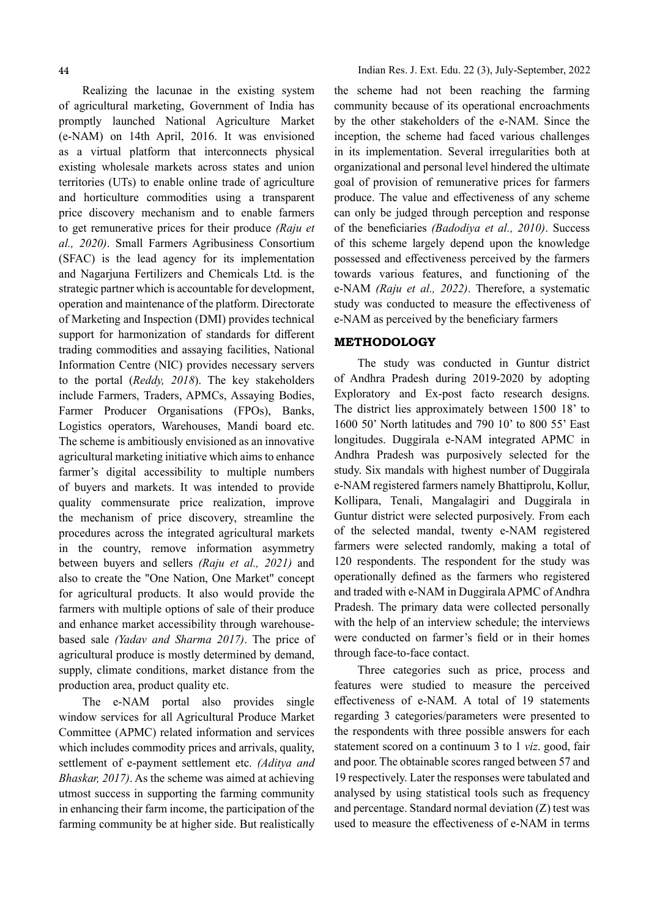Realizing the lacunae in the existing system of agricultural marketing, Government of India has promptly launched National Agriculture Market (e-NAM) on 14th April, 2016. It was envisioned as a virtual platform that interconnects physical existing wholesale markets across states and union territories (UTs) to enable online trade of agriculture and horticulture commodities using a transparent price discovery mechanism and to enable farmers to get remunerative prices for their produce (Raju et al., 2020). Small Farmers Agribusiness Consortium (SFAC) is the lead agency for its implementation and Nagarjuna Fertilizers and Chemicals Ltd. is the strategic partner which is accountable for development, operation and maintenance of the platform. Directorate of Marketing and Inspection (DMI) provides technical support for harmonization of standards for different trading commodities and assaying facilities, National Information Centre (NIC) provides necessary servers to the portal (Reddy, 2018). The key stakeholders include Farmers, Traders, APMCs, Assaying Bodies, Farmer Producer Organisations (FPOs), Banks, Logistics operators, Warehouses, Mandi board etc. The scheme is ambitiously envisioned as an innovative agricultural marketing initiative which aims to enhance farmer's digital accessibility to multiple numbers of buyers and markets. It was intended to provide quality commensurate price realization, improve the mechanism of price discovery, streamline the procedures across the integrated agricultural markets in the country, remove information asymmetry between buyers and sellers (Raju et al., 2021) and also to create the "One Nation, One Market" concept for agricultural products. It also would provide the farmers with multiple options of sale of their produce and enhance market accessibility through warehousebased sale (Yadav and Sharma 2017). The price of agricultural produce is mostly determined by demand, supply, climate conditions, market distance from the production area, product quality etc.

The e-NAM portal also provides single window services for all Agricultural Produce Market Committee (APMC) related information and services which includes commodity prices and arrivals, quality, settlement of e-payment settlement etc. (Aditya and Bhaskar, 2017). As the scheme was aimed at achieving utmost success in supporting the farming community in enhancing their farm income, the participation of the farming community be at higher side. But realistically

the scheme had not been reaching the farming community because of its operational encroachments by the other stakeholders of the e-NAM. Since the inception, the scheme had faced various challenges in its implementation. Several irregularities both at organizational and personal level hindered the ultimate goal of provision of remunerative prices for farmers produce. The value and effectiveness of any scheme can only be judged through perception and response of the beneficiaries (Badodiya et al., 2010). Success of this scheme largely depend upon the knowledge possessed and effectiveness perceived by the farmers towards various features, and functioning of the e-NAM (Raju et al., 2022). Therefore, a systematic study was conducted to measure the effectiveness of e-NAM as perceived by the beneficiary farmers

#### METHODOLOGY

The study was conducted in Guntur district of Andhra Pradesh during 2019-2020 by adopting Exploratory and Ex-post facto research designs. The district lies approximately between 1500 18' to 1600 50' North latitudes and 790 10' to 800 55' East longitudes. Duggirala e-NAM integrated APMC in Andhra Pradesh was purposively selected for the study. Six mandals with highest number of Duggirala e-NAM registered farmers namely Bhattiprolu, Kollur, Kollipara, Tenali, Mangalagiri and Duggirala in Guntur district were selected purposively. From each of the selected mandal, twenty e-NAM registered farmers were selected randomly, making a total of 120 respondents. The respondent for the study was operationally defined as the farmers who registered and traded with e-NAM in Duggirala APMC of Andhra Pradesh. The primary data were collected personally with the help of an interview schedule; the interviews were conducted on farmer's field or in their homes through face-to-face contact.

Three categories such as price, process and features were studied to measure the perceived effectiveness of e-NAM. A total of 19 statements regarding 3 categories/parameters were presented to the respondents with three possible answers for each statement scored on a continuum 3 to 1 viz. good, fair and poor. The obtainable scores ranged between 57 and 19 respectively. Later the responses were tabulated and analysed by using statistical tools such as frequency and percentage. Standard normal deviation (Z) test was used to measure the effectiveness of e-NAM in terms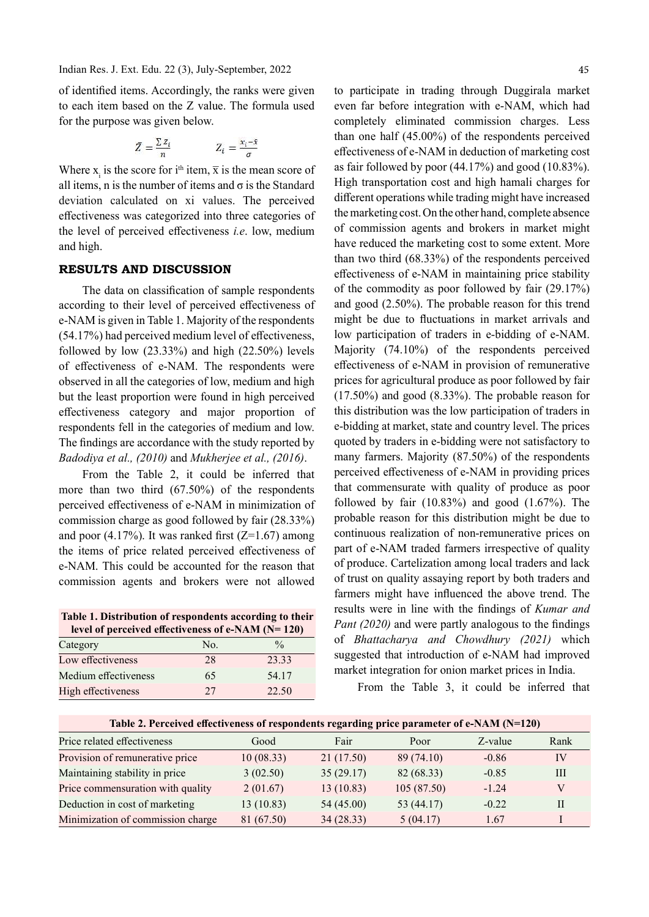Indian Res. J. Ext. Edu. 22 (3), July-September, 2022

of identified items. Accordingly, the ranks were given to each item based on the Z value. The formula used for the purpose was given below.

$$
\bar{Z} = \frac{\sum z_i}{n} \qquad Z_i = \frac{x_i - \bar{x}}{\sigma}
$$

Where x<sub>i</sub> is the score for i<sup>th</sup> item,  $\bar{x}$  is the mean score of all items, n is the number of items and  $\sigma$  is the Standard deviation calculated on xi values. The perceived effectiveness was categorized into three categories of the level of perceived effectiveness  $i.e.$  low, medium and high.

#### RESULTS AND DISCUSSION

The data on classification of sample respondents according to their level of perceived effectiveness of e-NAM is given in Table 1. Majority of the respondents  $(54.17%)$  had perceived medium level of effectiveness, followed by low  $(23.33\%)$  and high  $(22.50\%)$  levels of effectiveness of e-NAM. The respondents were observed in all the categories of low, medium and high but the least proportion were found in high perceived eff ectiveness category and major proportion of respondents fell in the categories of medium and low. The findings are accordance with the study reported by Badodiya et al., (2010) and Mukherjee et al., (2016).

From the Table 2, it could be inferred that more than two third (67.50%) of the respondents perceived effectiveness of e-NAM in minimization of commission charge as good followed by fair (28.33%) and poor  $(4.17\%)$ . It was ranked first  $(Z=1.67)$  among the items of price related perceived effectiveness of e-NAM. This could be accounted for the reason that commission agents and brokers were not allowed

Table 1. Distribution of respondents according to their  $\frac{1}{2}$  level of perceived effectiveness of e-NAM (N= 120)

| $\frac{1}{2}$ and $\frac{1}{2}$ are the contracted contracted to $\frac{1}{2}$ and $\frac{1}{2}$ are $\frac{1}{2}$ |     |               |  |
|--------------------------------------------------------------------------------------------------------------------|-----|---------------|--|
| Category                                                                                                           | No. | $\frac{0}{0}$ |  |
| Low effectiveness                                                                                                  | 28  | 23.33         |  |
| Medium effectiveness                                                                                               | 65  | 54.17         |  |
| High effectiveness                                                                                                 | 27  | 22.50         |  |

to participate in trading through Duggirala market even far before integration with e-NAM, which had completely eliminated commission charges. Less than one half (45.00%) of the respondents perceived effectiveness of e-NAM in deduction of marketing cost as fair followed by poor (44.17%) and good (10.83%). High transportation cost and high hamali charges for different operations while trading might have increased the marketing cost. On the other hand, complete absence of commission agents and brokers in market might have reduced the marketing cost to some extent. More than two third (68.33%) of the respondents perceived effectiveness of e-NAM in maintaining price stability of the commodity as poor followed by fair (29.17%) and good (2.50%). The probable reason for this trend might be due to fluctuations in market arrivals and low participation of traders in e-bidding of e-NAM. Majority (74.10%) of the respondents perceived effectiveness of e-NAM in provision of remunerative prices for agricultural produce as poor followed by fair (17.50%) and good (8.33%). The probable reason for this distribution was the low participation of traders in e-bidding at market, state and country level. The prices quoted by traders in e-bidding were not satisfactory to many farmers. Majority (87.50%) of the respondents perceived effectiveness of e-NAM in providing prices that commensurate with quality of produce as poor followed by fair (10.83%) and good (1.67%). The probable reason for this distribution might be due to continuous realization of non-remunerative prices on part of e-NAM traded farmers irrespective of quality of produce. Cartelization among local traders and lack of trust on quality assaying report by both traders and farmers might have influenced the above trend. The results were in line with the findings of Kumar and Pant  $(2020)$  and were partly analogous to the findings of Bhattacharya and Chowdhury (2021) which suggested that introduction of e-NAM had improved market integration for onion market prices in India.

From the Table 3, it could be inferred that

| Table 2. Perceived effectiveness of respondents regarding price parameter of e-NAM $(N=120)$ |            |            |              |         |              |  |
|----------------------------------------------------------------------------------------------|------------|------------|--------------|---------|--------------|--|
| Price related effectiveness                                                                  | Good       | Fair       | Poor         | Z-value | Rank         |  |
| Provision of remunerative price                                                              | 10(08.33)  | 21(17.50)  | 89(74.10)    | $-0.86$ | IV           |  |
| Maintaining stability in price                                                               | 3(02.50)   | 35(29.17)  | 82 (68.33)   | $-0.85$ | Ш            |  |
| Price commensuration with quality                                                            | 2(01.67)   | 13(10.83)  | 105(87.50)   | $-1.24$ | V            |  |
| Deduction in cost of marketing                                                               | 13(10.83)  | 54 (45.00) | 53 $(44.17)$ | $-0.22$ | $\mathbf{I}$ |  |
| Minimization of commission charge                                                            | 81 (67.50) | 34(28.33)  | 5(04.17)     | 1.67    |              |  |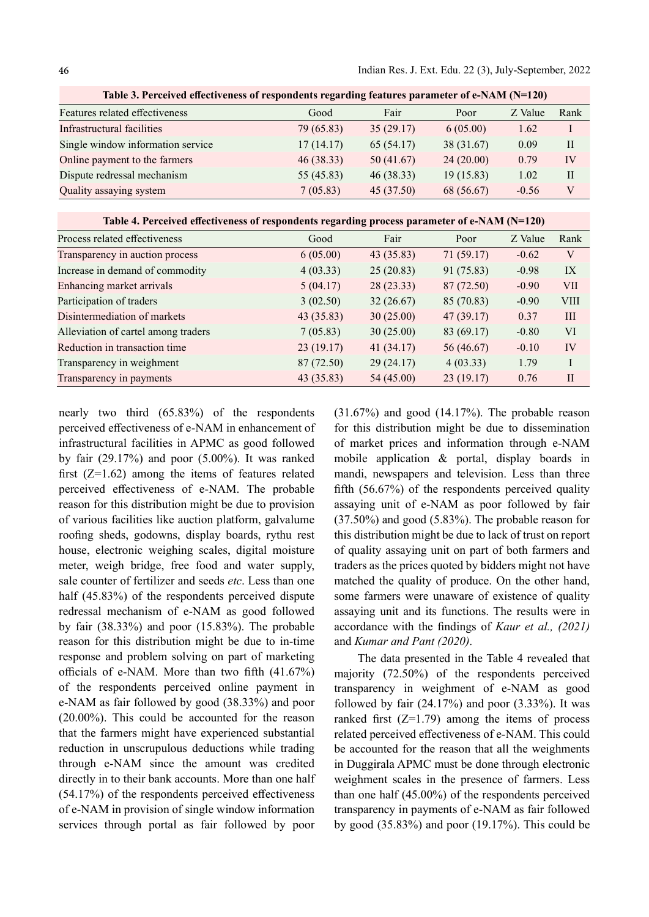| Good       | Fair       | Poor       | Z Value | Rank         |
|------------|------------|------------|---------|--------------|
| 79 (65.83) | 35(29.17)  | 6(05.00)   | 1.62    | I            |
| 17(14.17)  | 65 (54.17) | 38 (31.67) | 0.09    | $\mathbf{I}$ |
| 46(38.33)  | 50(41.67)  | 24(20.00)  | 0.79    | IV           |
| 55 (45.83) | 46(38.33)  | 19(15.83)  | 1.02    | $\mathbf{H}$ |
| 7(05.83)   | 45 (37.50) | 68 (56.67) | $-0.56$ | V            |
|            |            |            |         |              |

Table 3. Perceived effectiveness of respondents regarding features parameter of e-NAM  $(N=120)$ 

Table 4. Perceived effectiveness of respondents regarding process parameter of e-NAM  $(N=120)$ 

| Process related effectiveness       | Good       | Fair       | Poor       | Z Value | Rank         |
|-------------------------------------|------------|------------|------------|---------|--------------|
| Transparency in auction process     | 6(05.00)   | 43(35.83)  | 71(59.17)  | $-0.62$ | V            |
| Increase in demand of commodity     | 4(03.33)   | 25(20.83)  | 91 (75.83) | $-0.98$ | IX           |
| Enhancing market arrivals           | 5(04.17)   | 28(23.33)  | 87 (72.50) | $-0.90$ | <b>VII</b>   |
| Participation of traders            | 3(02.50)   | 32(26.67)  | 85 (70.83) | $-0.90$ | <b>VIII</b>  |
| Disintermediation of markets        | 43(35.83)  | 30(25.00)  | 47(39.17)  | 0.37    | III          |
| Alleviation of cartel among traders | 7(05.83)   | 30(25.00)  | 83 (69.17) | $-0.80$ | <b>VI</b>    |
| Reduction in transaction time       | 23(19.17)  | 41(34.17)  | 56 (46.67) | $-0.10$ | IV           |
| Transparency in weighment           | 87 (72.50) | 29(24.17)  | 4(03.33)   | 1.79    | I            |
| Transparency in payments            | 43 (35.83) | 54 (45.00) | 23(19.17)  | 0.76    | $\mathbf{I}$ |

nearly two third (65.83%) of the respondents perceived effectiveness of e-NAM in enhancement of infrastructural facilities in APMC as good followed by fair (29.17%) and poor (5.00%). It was ranked first  $(Z=1.62)$  among the items of features related perceived effectiveness of e-NAM. The probable reason for this distribution might be due to provision of various facilities like auction platform, galvalume roofing sheds, godowns, display boards, rythu rest house, electronic weighing scales, digital moisture meter, weigh bridge, free food and water supply, sale counter of fertilizer and seeds etc. Less than one half (45.83%) of the respondents perceived dispute redressal mechanism of e-NAM as good followed by fair (38.33%) and poor (15.83%). The probable reason for this distribution might be due to in-time response and problem solving on part of marketing officials of e-NAM. More than two fifth  $(41.67%)$ of the respondents perceived online payment in e-NAM as fair followed by good (38.33%) and poor (20.00%). This could be accounted for the reason that the farmers might have experienced substantial reduction in unscrupulous deductions while trading through e-NAM since the amount was credited directly in to their bank accounts. More than one half  $(54.17%)$  of the respondents perceived effectiveness of e-NAM in provision of single window information services through portal as fair followed by poor (31.67%) and good (14.17%). The probable reason for this distribution might be due to dissemination of market prices and information through e-NAM mobile application & portal, display boards in mandi, newspapers and television. Less than three fifth  $(56.67%)$  of the respondents perceived quality assaying unit of e-NAM as poor followed by fair (37.50%) and good (5.83%). The probable reason for this distribution might be due to lack of trust on report of quality assaying unit on part of both farmers and traders as the prices quoted by bidders might not have matched the quality of produce. On the other hand, some farmers were unaware of existence of quality assaying unit and its functions. The results were in accordance with the findings of Kaur et al.,  $(2021)$ and Kumar and Pant (2020).

The data presented in the Table 4 revealed that majority (72.50%) of the respondents perceived transparency in weighment of e-NAM as good followed by fair  $(24.17%)$  and poor  $(3.33%)$ . It was ranked first  $(Z=1.79)$  among the items of process related perceived effectiveness of e-NAM. This could be accounted for the reason that all the weighments in Duggirala APMC must be done through electronic weighment scales in the presence of farmers. Less than one half (45.00%) of the respondents perceived transparency in payments of e-NAM as fair followed by good (35.83%) and poor (19.17%). This could be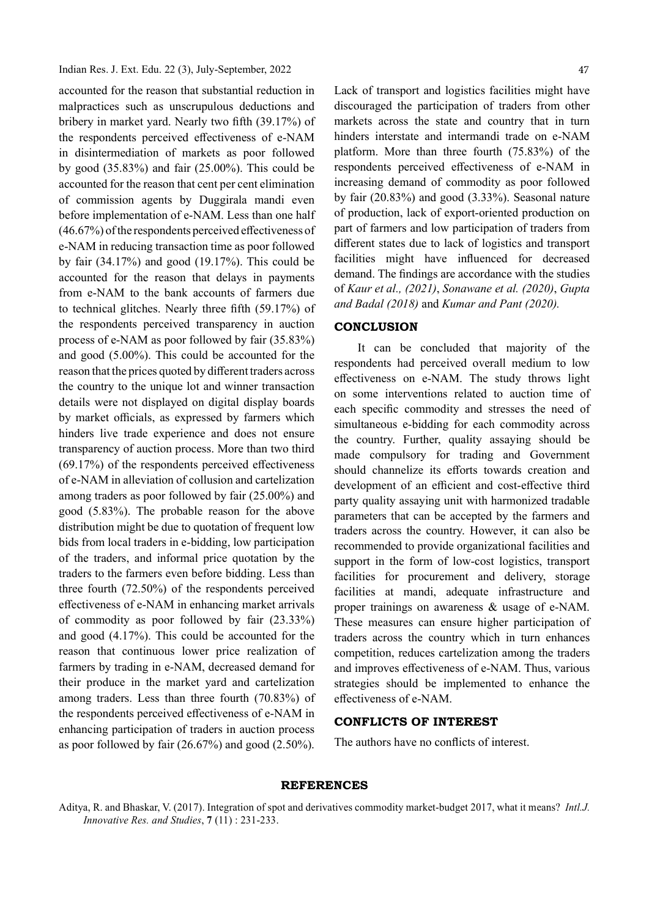accounted for the reason that substantial reduction in malpractices such as unscrupulous deductions and bribery in market yard. Nearly two fifth (39.17%) of the respondents perceived effectiveness of e-NAM in disintermediation of markets as poor followed by good (35.83%) and fair (25.00%). This could be accounted for the reason that cent per cent elimination of commission agents by Duggirala mandi even before implementation of e-NAM. Less than one half  $(46.67%)$  of the respondents perceived effectiveness of e-NAM in reducing transaction time as poor followed by fair (34.17%) and good (19.17%). This could be accounted for the reason that delays in payments from e-NAM to the bank accounts of farmers due to technical glitches. Nearly three fifth  $(59.17%)$  of the respondents perceived transparency in auction process of e-NAM as poor followed by fair (35.83%) and good (5.00%). This could be accounted for the reason that the prices quoted by different traders across the country to the unique lot and winner transaction details were not displayed on digital display boards by market officials, as expressed by farmers which hinders live trade experience and does not ensure transparency of auction process. More than two third  $(69.17%)$  of the respondents perceived effectiveness of e-NAM in alleviation of collusion and cartelization among traders as poor followed by fair (25.00%) and good (5.83%). The probable reason for the above distribution might be due to quotation of frequent low bids from local traders in e-bidding, low participation of the traders, and informal price quotation by the traders to the farmers even before bidding. Less than three fourth (72.50%) of the respondents perceived effectiveness of e-NAM in enhancing market arrivals of commodity as poor followed by fair (23.33%) and good (4.17%). This could be accounted for the reason that continuous lower price realization of farmers by trading in e-NAM, decreased demand for their produce in the market yard and cartelization among traders. Less than three fourth (70.83%) of the respondents perceived effectiveness of e-NAM in enhancing participation of traders in auction process as poor followed by fair (26.67%) and good (2.50%).

Lack of transport and logistics facilities might have discouraged the participation of traders from other markets across the state and country that in turn hinders interstate and intermandi trade on e-NAM platform. More than three fourth (75.83%) of the respondents perceived effectiveness of e-NAM in increasing demand of commodity as poor followed by fair (20.83%) and good (3.33%). Seasonal nature of production, lack of export-oriented production on part of farmers and low participation of traders from different states due to lack of logistics and transport facilities might have influenced for decreased demand. The findings are accordance with the studies of Kaur et al., (2021), Sonawane et al. (2020), Gupta and Badal (2018) and Kumar and Pant (2020).

## **CONCLUSION**

It can be concluded that majority of the respondents had perceived overall medium to low eff ectiveness on e-NAM. The study throws light on some interventions related to auction time of each specific commodity and stresses the need of simultaneous e-bidding for each commodity across the country. Further, quality assaying should be made compulsory for trading and Government should channelize its efforts towards creation and development of an efficient and cost-effective third party quality assaying unit with harmonized tradable parameters that can be accepted by the farmers and traders across the country. However, it can also be recommended to provide organizational facilities and support in the form of low-cost logistics, transport facilities for procurement and delivery, storage facilities at mandi, adequate infrastructure and proper trainings on awareness & usage of e-NAM. These measures can ensure higher participation of traders across the country which in turn enhances competition, reduces cartelization among the traders and improves effectiveness of e-NAM. Thus, various strategies should be implemented to enhance the effectiveness of e-NAM.

#### CONFLICTS OF INTEREST

The authors have no conflicts of interest.

#### REFERENCES

Aditya, R. and Bhaskar, V. (2017). Integration of spot and derivatives commodity market-budget 2017, what it means? Intl.J. Innovative Res. and Studies, 7 (11) : 231-233.